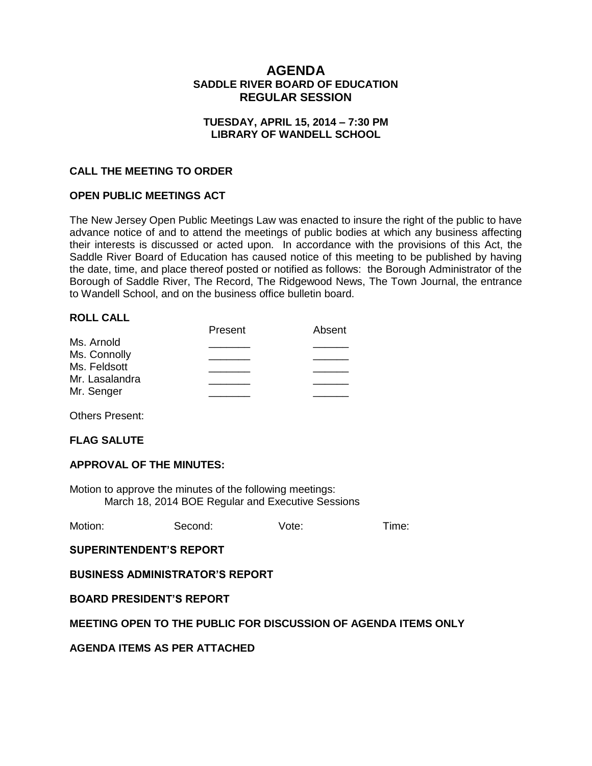# **AGENDA SADDLE RIVER BOARD OF EDUCATION REGULAR SESSION**

### **TUESDAY, APRIL 15, 2014 – 7:30 PM LIBRARY OF WANDELL SCHOOL**

## **CALL THE MEETING TO ORDER**

#### **OPEN PUBLIC MEETINGS ACT**

The New Jersey Open Public Meetings Law was enacted to insure the right of the public to have advance notice of and to attend the meetings of public bodies at which any business affecting their interests is discussed or acted upon. In accordance with the provisions of this Act, the Saddle River Board of Education has caused notice of this meeting to be published by having the date, time, and place thereof posted or notified as follows: the Borough Administrator of the Borough of Saddle River, The Record, The Ridgewood News, The Town Journal, the entrance to Wandell School, and on the business office bulletin board.

#### **ROLL CALL**

|                | Present | Absent |
|----------------|---------|--------|
| Ms. Arnold     |         |        |
| Ms. Connolly   |         |        |
| Ms. Feldsott   |         |        |
| Mr. Lasalandra |         |        |
| Mr. Senger     |         |        |
|                |         |        |

Others Present:

#### **FLAG SALUTE**

#### **APPROVAL OF THE MINUTES:**

Motion to approve the minutes of the following meetings: March 18, 2014 BOE Regular and Executive Sessions

| Motion:<br>Vote:<br>Second: | Time: |
|-----------------------------|-------|
|-----------------------------|-------|

**SUPERINTENDENT'S REPORT**

**BUSINESS ADMINISTRATOR'S REPORT**

**BOARD PRESIDENT'S REPORT**

#### **MEETING OPEN TO THE PUBLIC FOR DISCUSSION OF AGENDA ITEMS ONLY**

**AGENDA ITEMS AS PER ATTACHED**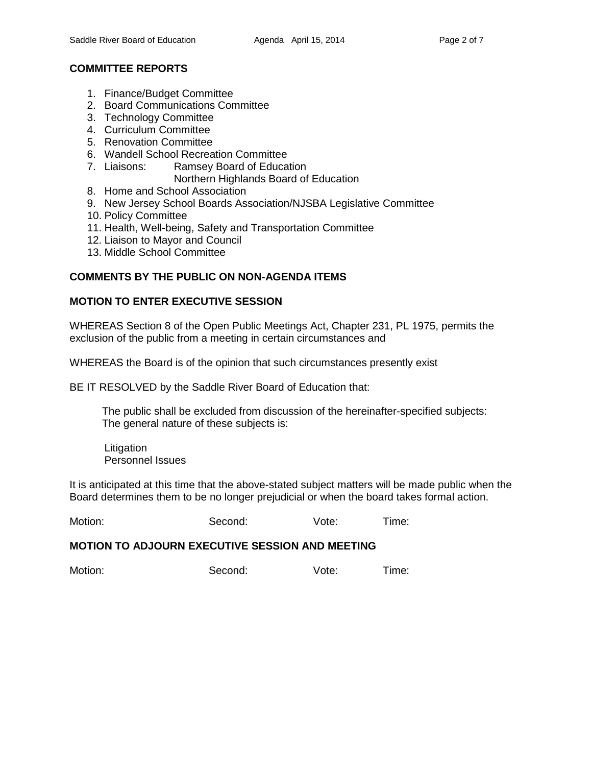# **COMMITTEE REPORTS**

- 1. Finance/Budget Committee
- 2. Board Communications Committee
- 3. Technology Committee
- 4. Curriculum Committee
- 5. Renovation Committee
- 6. Wandell School Recreation Committee
- 7. Liaisons: Ramsey Board of Education
	- Northern Highlands Board of Education
- 8. Home and School Association
- 9. New Jersey School Boards Association/NJSBA Legislative Committee
- 10. Policy Committee
- 11. Health, Well-being, Safety and Transportation Committee
- 12. Liaison to Mayor and Council
- 13. Middle School Committee

# **COMMENTS BY THE PUBLIC ON NON-AGENDA ITEMS**

## **MOTION TO ENTER EXECUTIVE SESSION**

WHEREAS Section 8 of the Open Public Meetings Act, Chapter 231, PL 1975, permits the exclusion of the public from a meeting in certain circumstances and

WHEREAS the Board is of the opinion that such circumstances presently exist

BE IT RESOLVED by the Saddle River Board of Education that:

 The public shall be excluded from discussion of the hereinafter-specified subjects: The general nature of these subjects is:

Litigation Personnel Issues

It is anticipated at this time that the above-stated subject matters will be made public when the Board determines them to be no longer prejudicial or when the board takes formal action.

Motion: Second: Vote: Time:

#### **MOTION TO ADJOURN EXECUTIVE SESSION AND MEETING**

Motion: Second: Vote: Time: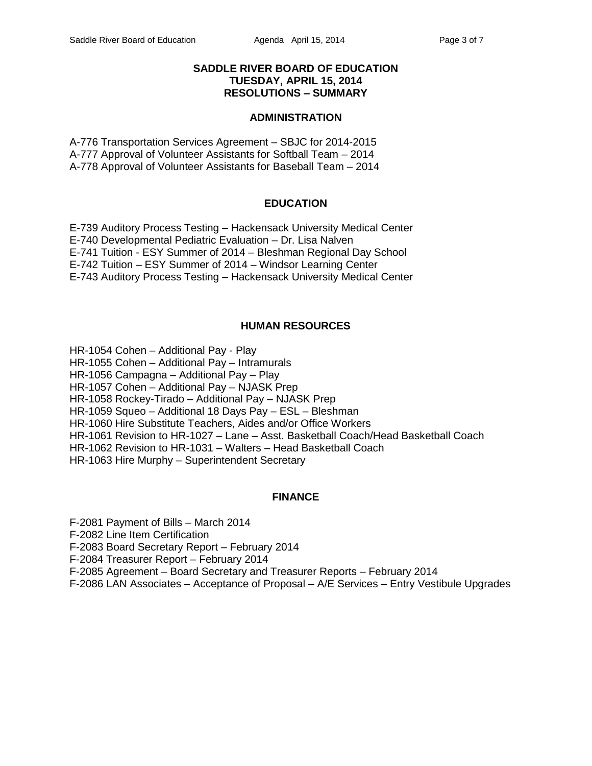### **SADDLE RIVER BOARD OF EDUCATION TUESDAY, APRIL 15, 2014 RESOLUTIONS – SUMMARY**

#### **ADMINISTRATION**

A-776 Transportation Services Agreement – SBJC for 2014-2015 A-777 Approval of Volunteer Assistants for Softball Team – 2014 A-778 Approval of Volunteer Assistants for Baseball Team – 2014

### **EDUCATION**

E-739 Auditory Process Testing – Hackensack University Medical Center E-740 Developmental Pediatric Evaluation – Dr. Lisa Nalven E-741 Tuition - ESY Summer of 2014 – Bleshman Regional Day School E-742 Tuition – ESY Summer of 2014 – Windsor Learning Center E-743 Auditory Process Testing – Hackensack University Medical Center

## **HUMAN RESOURCES**

- HR-1054 Cohen Additional Pay Play
- HR-1055 Cohen Additional Pay Intramurals
- HR-1056 Campagna Additional Pay Play
- HR-1057 Cohen Additional Pay NJASK Prep
- HR-1058 Rockey-Tirado Additional Pay NJASK Prep
- HR-1059 Squeo Additional 18 Days Pay ESL Bleshman
- HR-1060 Hire Substitute Teachers, Aides and/or Office Workers
- HR-1061 Revision to HR-1027 Lane Asst. Basketball Coach/Head Basketball Coach
- HR-1062 Revision to HR-1031 Walters Head Basketball Coach
- HR-1063 Hire Murphy Superintendent Secretary

# **FINANCE**

F-2081 Payment of Bills – March 2014

F-2082 Line Item Certification

F-2083 Board Secretary Report – February 2014

F-2084 Treasurer Report – February 2014

F-2085 Agreement – Board Secretary and Treasurer Reports – February 2014

F-2086 LAN Associates – Acceptance of Proposal – A/E Services – Entry Vestibule Upgrades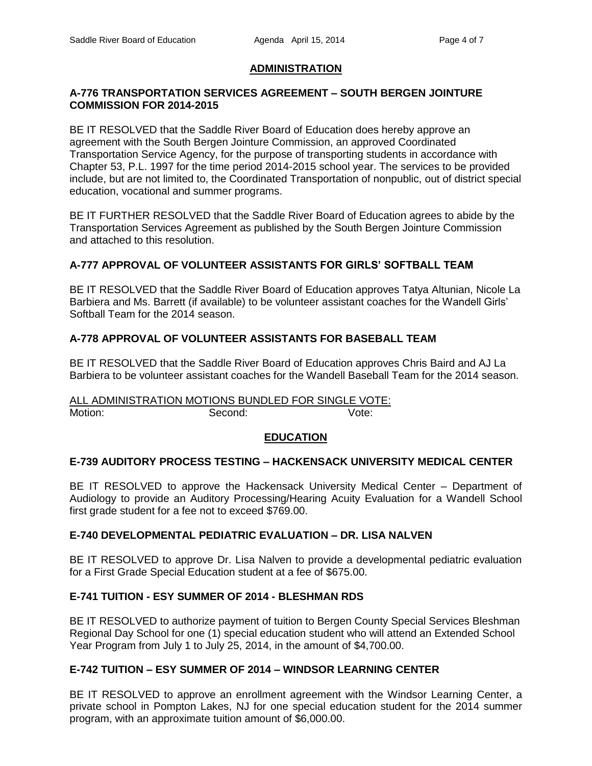# **ADMINISTRATION**

### **A-776 TRANSPORTATION SERVICES AGREEMENT – SOUTH BERGEN JOINTURE COMMISSION FOR 2014-2015**

BE IT RESOLVED that the Saddle River Board of Education does hereby approve an agreement with the South Bergen Jointure Commission, an approved Coordinated Transportation Service Agency, for the purpose of transporting students in accordance with Chapter 53, P.L. 1997 for the time period 2014-2015 school year. The services to be provided include, but are not limited to, the Coordinated Transportation of nonpublic, out of district special education, vocational and summer programs.

BE IT FURTHER RESOLVED that the Saddle River Board of Education agrees to abide by the Transportation Services Agreement as published by the South Bergen Jointure Commission and attached to this resolution.

# **A-777 APPROVAL OF VOLUNTEER ASSISTANTS FOR GIRLS' SOFTBALL TEAM**

BE IT RESOLVED that the Saddle River Board of Education approves Tatya Altunian, Nicole La Barbiera and Ms. Barrett (if available) to be volunteer assistant coaches for the Wandell Girls' Softball Team for the 2014 season.

# **A-778 APPROVAL OF VOLUNTEER ASSISTANTS FOR BASEBALL TEAM**

BE IT RESOLVED that the Saddle River Board of Education approves Chris Baird and AJ La Barbiera to be volunteer assistant coaches for the Wandell Baseball Team for the 2014 season.

ALL ADMINISTRATION MOTIONS BUNDLED FOR SINGLE VOTE: Motion: Second: Second: Vote:

#### **EDUCATION**

## **E-739 AUDITORY PROCESS TESTING – HACKENSACK UNIVERSITY MEDICAL CENTER**

BE IT RESOLVED to approve the Hackensack University Medical Center – Department of Audiology to provide an Auditory Processing/Hearing Acuity Evaluation for a Wandell School first grade student for a fee not to exceed \$769.00.

## **E-740 DEVELOPMENTAL PEDIATRIC EVALUATION – DR. LISA NALVEN**

BE IT RESOLVED to approve Dr. Lisa Nalven to provide a developmental pediatric evaluation for a First Grade Special Education student at a fee of \$675.00.

## **E-741 TUITION - ESY SUMMER OF 2014 - BLESHMAN RDS**

BE IT RESOLVED to authorize payment of tuition to Bergen County Special Services Bleshman Regional Day School for one (1) special education student who will attend an Extended School Year Program from July 1 to July 25, 2014, in the amount of \$4,700.00.

## **E-742 TUITION – ESY SUMMER OF 2014 – WINDSOR LEARNING CENTER**

BE IT RESOLVED to approve an enrollment agreement with the Windsor Learning Center, a private school in Pompton Lakes, NJ for one special education student for the 2014 summer program, with an approximate tuition amount of \$6,000.00.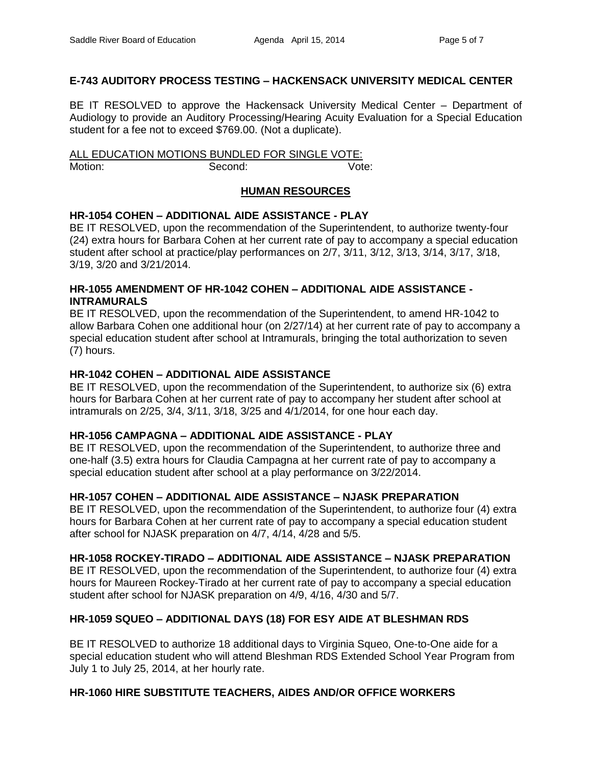## **E-743 AUDITORY PROCESS TESTING – HACKENSACK UNIVERSITY MEDICAL CENTER**

BE IT RESOLVED to approve the Hackensack University Medical Center – Department of Audiology to provide an Auditory Processing/Hearing Acuity Evaluation for a Special Education student for a fee not to exceed \$769.00. (Not a duplicate).

ALL EDUCATION MOTIONS BUNDLED FOR SINGLE VOTE: Motion: Second: Second: Vote:

## **HUMAN RESOURCES**

### **HR-1054 COHEN – ADDITIONAL AIDE ASSISTANCE - PLAY**

BE IT RESOLVED, upon the recommendation of the Superintendent, to authorize twenty-four (24) extra hours for Barbara Cohen at her current rate of pay to accompany a special education student after school at practice/play performances on 2/7, 3/11, 3/12, 3/13, 3/14, 3/17, 3/18, 3/19, 3/20 and 3/21/2014.

### **HR-1055 AMENDMENT OF HR-1042 COHEN – ADDITIONAL AIDE ASSISTANCE - INTRAMURALS**

BE IT RESOLVED, upon the recommendation of the Superintendent, to amend HR-1042 to allow Barbara Cohen one additional hour (on 2/27/14) at her current rate of pay to accompany a special education student after school at Intramurals, bringing the total authorization to seven (7) hours.

### **HR-1042 COHEN – ADDITIONAL AIDE ASSISTANCE**

BE IT RESOLVED, upon the recommendation of the Superintendent, to authorize six (6) extra hours for Barbara Cohen at her current rate of pay to accompany her student after school at intramurals on 2/25, 3/4, 3/11, 3/18, 3/25 and 4/1/2014, for one hour each day.

#### **HR-1056 CAMPAGNA – ADDITIONAL AIDE ASSISTANCE - PLAY**

BE IT RESOLVED, upon the recommendation of the Superintendent, to authorize three and one-half (3.5) extra hours for Claudia Campagna at her current rate of pay to accompany a special education student after school at a play performance on 3/22/2014.

## **HR-1057 COHEN – ADDITIONAL AIDE ASSISTANCE – NJASK PREPARATION**

BE IT RESOLVED, upon the recommendation of the Superintendent, to authorize four (4) extra hours for Barbara Cohen at her current rate of pay to accompany a special education student after school for NJASK preparation on 4/7, 4/14, 4/28 and 5/5.

#### **HR-1058 ROCKEY-TIRADO – ADDITIONAL AIDE ASSISTANCE – NJASK PREPARATION**

BE IT RESOLVED, upon the recommendation of the Superintendent, to authorize four (4) extra hours for Maureen Rockey-Tirado at her current rate of pay to accompany a special education student after school for NJASK preparation on 4/9, 4/16, 4/30 and 5/7.

## **HR-1059 SQUEO – ADDITIONAL DAYS (18) FOR ESY AIDE AT BLESHMAN RDS**

BE IT RESOLVED to authorize 18 additional days to Virginia Squeo, One-to-One aide for a special education student who will attend Bleshman RDS Extended School Year Program from July 1 to July 25, 2014, at her hourly rate.

#### **HR-1060 HIRE SUBSTITUTE TEACHERS, AIDES AND/OR OFFICE WORKERS**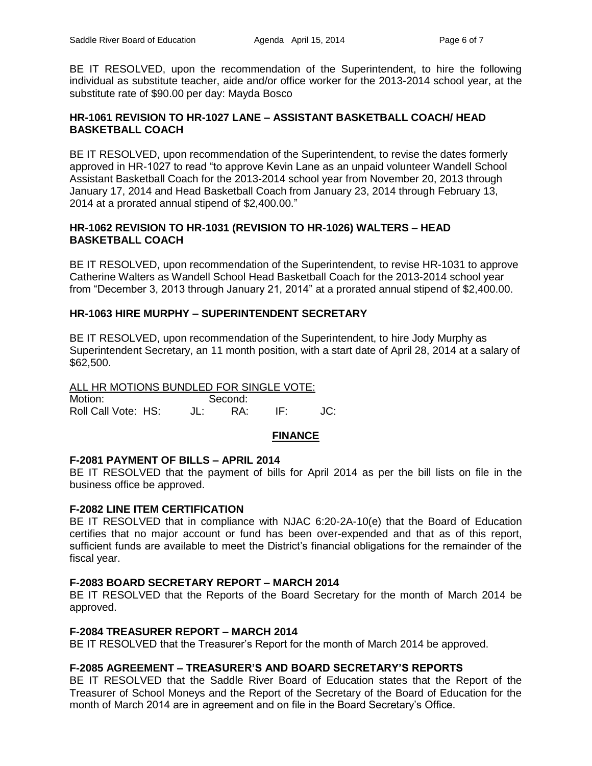BE IT RESOLVED, upon the recommendation of the Superintendent, to hire the following individual as substitute teacher, aide and/or office worker for the 2013-2014 school year, at the substitute rate of \$90.00 per day: Mayda Bosco

## **HR-1061 REVISION TO HR-1027 LANE – ASSISTANT BASKETBALL COACH/ HEAD BASKETBALL COACH**

BE IT RESOLVED, upon recommendation of the Superintendent, to revise the dates formerly approved in HR-1027 to read "to approve Kevin Lane as an unpaid volunteer Wandell School Assistant Basketball Coach for the 2013-2014 school year from November 20, 2013 through January 17, 2014 and Head Basketball Coach from January 23, 2014 through February 13, 2014 at a prorated annual stipend of \$2,400.00."

### **HR-1062 REVISION TO HR-1031 (REVISION TO HR-1026) WALTERS – HEAD BASKETBALL COACH**

BE IT RESOLVED, upon recommendation of the Superintendent, to revise HR-1031 to approve Catherine Walters as Wandell School Head Basketball Coach for the 2013-2014 school year from "December 3, 2013 through January 21, 2014" at a prorated annual stipend of \$2,400.00.

## **HR-1063 HIRE MURPHY – SUPERINTENDENT SECRETARY**

BE IT RESOLVED, upon recommendation of the Superintendent, to hire Jody Murphy as Superintendent Secretary, an 11 month position, with a start date of April 28, 2014 at a salary of \$62,500.

# ALL HR MOTIONS BUNDLED FOR SINGLE VOTE:

Motion: Second: Roll Call Vote: HS: JL: RA: IF: JC:

## **FINANCE**

## **F-2081 PAYMENT OF BILLS – APRIL 2014**

BE IT RESOLVED that the payment of bills for April 2014 as per the bill lists on file in the business office be approved.

#### **F-2082 LINE ITEM CERTIFICATION**

BE IT RESOLVED that in compliance with NJAC 6:20-2A-10(e) that the Board of Education certifies that no major account or fund has been over-expended and that as of this report, sufficient funds are available to meet the District's financial obligations for the remainder of the fiscal year.

#### **F-2083 BOARD SECRETARY REPORT – MARCH 2014**

BE IT RESOLVED that the Reports of the Board Secretary for the month of March 2014 be approved.

#### **F-2084 TREASURER REPORT – MARCH 2014**

BE IT RESOLVED that the Treasurer's Report for the month of March 2014 be approved.

## **F-2085 AGREEMENT – TREASURER'S AND BOARD SECRETARY'S REPORTS**

BE IT RESOLVED that the Saddle River Board of Education states that the Report of the Treasurer of School Moneys and the Report of the Secretary of the Board of Education for the month of March 2014 are in agreement and on file in the Board Secretary's Office.